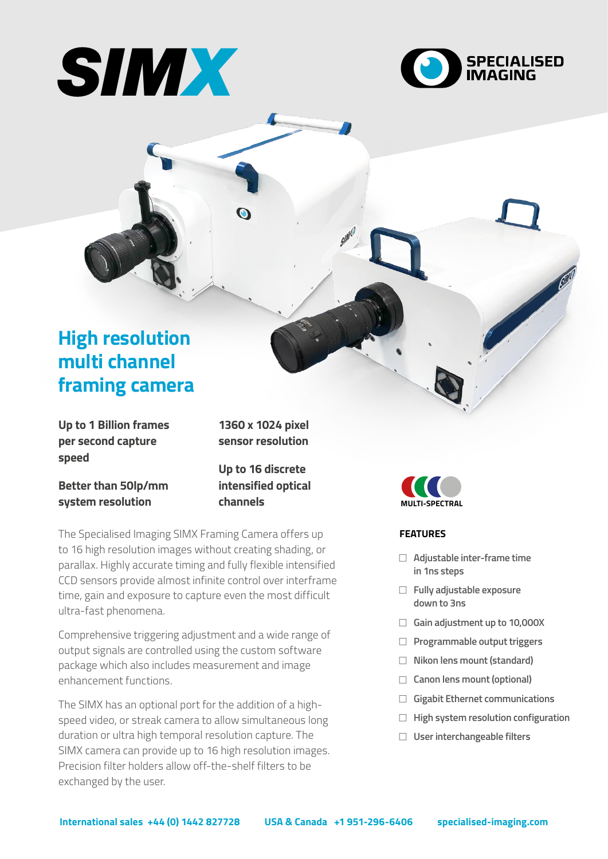



# **High resolution multi channel framing camera**

**Up to 1 Billion frames per second capture speed**

**1360 x 1024 pixel sensor resolution**

**Better than 50lp/mm system resolution**

**Up to 16 discrete intensified optical channels**

The Specialised Imaging SIMX Framing Camera offers up to 16 high resolution images without creating shading, or parallax. Highly accurate timing and fully flexible intensified CCD sensors provide almost infinite control over interframe time, gain and exposure to capture even the most difficult ultra-fast phenomena.

Comprehensive triggering adjustment and a wide range of output signals are controlled using the custom software package which also includes measurement and image enhancement functions.

The SIMX has an optional port for the addition of a highspeed video, or streak camera to allow simultaneous long duration or ultra high temporal resolution capture. The SIMX camera can provide up to 16 high resolution images. Precision filter holders allow off-the-shelf filters to be exchanged by the user.



# **FEATURES**

- <sup>F</sup> **Adjustable inter-frame time in 1ns steps**
- **Fully adjustable exposure down to 3ns**
- <sup>F</sup> **Gain adjustment up to 10,000X**
- **F** Programmable output triggers
- <sup>F</sup> **Nikon lens mount (standard)**
- □ Canon lens mount (optional)
- <sup>F</sup> **Gigabit Ethernet communications**
- **High system resolution configuration**
- □ User interchangeable filters